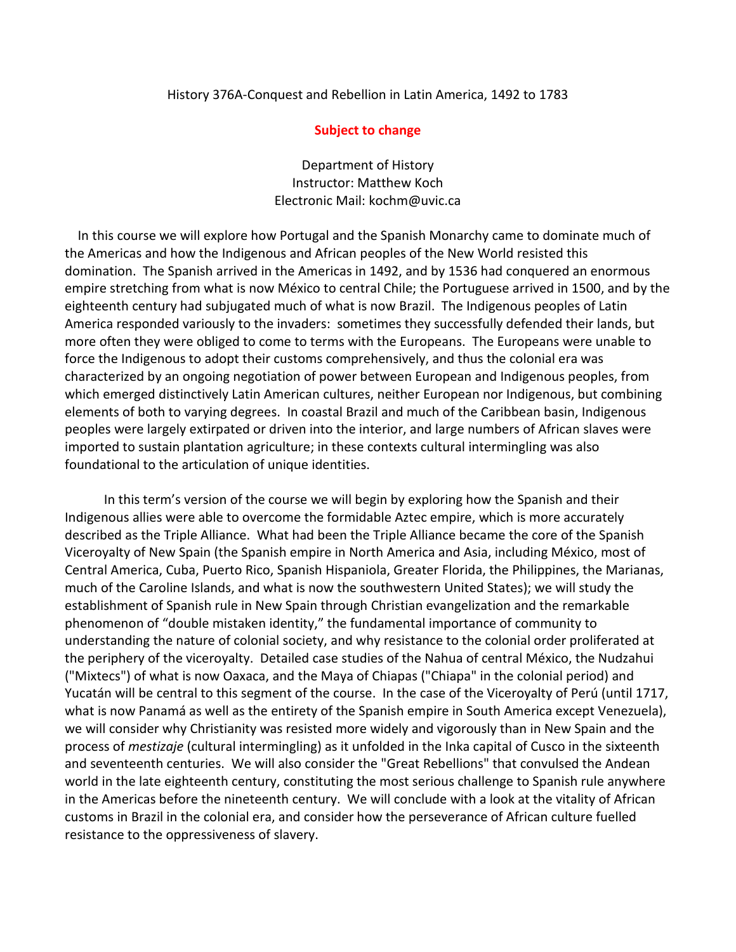## History 376A-Conquest and Rebellion in Latin America, 1492 to 1783

## **Subject to change**

Department of History Instructor: Matthew Koch Electronic Mail: kochm@uvic.ca

 In this course we will explore how Portugal and the Spanish Monarchy came to dominate much of the Americas and how the Indigenous and African peoples of the New World resisted this domination. The Spanish arrived in the Americas in 1492, and by 1536 had conquered an enormous empire stretching from what is now México to central Chile; the Portuguese arrived in 1500, and by the eighteenth century had subjugated much of what is now Brazil. The Indigenous peoples of Latin America responded variously to the invaders: sometimes they successfully defended their lands, but more often they were obliged to come to terms with the Europeans. The Europeans were unable to force the Indigenous to adopt their customs comprehensively, and thus the colonial era was characterized by an ongoing negotiation of power between European and Indigenous peoples, from which emerged distinctively Latin American cultures, neither European nor Indigenous, but combining elements of both to varying degrees. In coastal Brazil and much of the Caribbean basin, Indigenous peoples were largely extirpated or driven into the interior, and large numbers of African slaves were imported to sustain plantation agriculture; in these contexts cultural intermingling was also foundational to the articulation of unique identities.

 In this term's version of the course we will begin by exploring how the Spanish and their Indigenous allies were able to overcome the formidable Aztec empire, which is more accurately described as the Triple Alliance. What had been the Triple Alliance became the core of the Spanish Viceroyalty of New Spain (the Spanish empire in North America and Asia, including México, most of Central America, Cuba, Puerto Rico, Spanish Hispaniola, Greater Florida, the Philippines, the Marianas, much of the Caroline Islands, and what is now the southwestern United States); we will study the establishment of Spanish rule in New Spain through Christian evangelization and the remarkable phenomenon of "double mistaken identity," the fundamental importance of community to understanding the nature of colonial society, and why resistance to the colonial order proliferated at the periphery of the viceroyalty. Detailed case studies of the Nahua of central México, the Nudzahui ("Mixtecs") of what is now Oaxaca, and the Maya of Chiapas ("Chiapa" in the colonial period) and Yucatán will be central to this segment of the course. In the case of the Viceroyalty of Perú (until 1717, what is now Panamá as well as the entirety of the Spanish empire in South America except Venezuela), we will consider why Christianity was resisted more widely and vigorously than in New Spain and the process of *mestizaje* (cultural intermingling) as it unfolded in the Inka capital of Cusco in the sixteenth and seventeenth centuries. We will also consider the "Great Rebellions" that convulsed the Andean world in the late eighteenth century, constituting the most serious challenge to Spanish rule anywhere in the Americas before the nineteenth century. We will conclude with a look at the vitality of African customs in Brazil in the colonial era, and consider how the perseverance of African culture fuelled resistance to the oppressiveness of slavery.